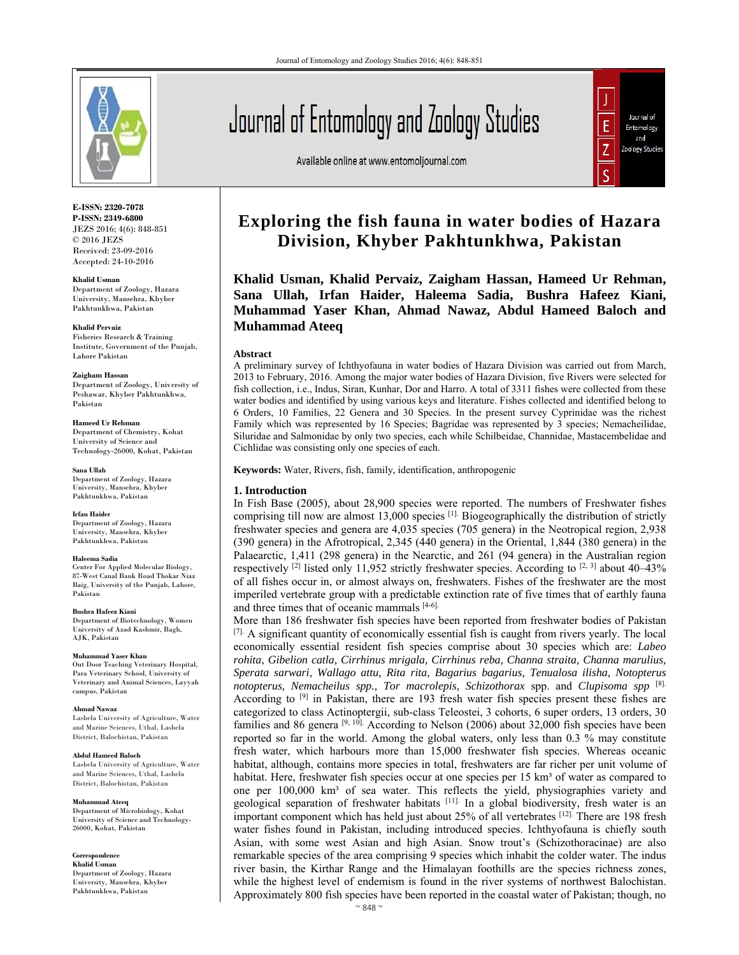

**E-ISSN: 2320-7078 P-ISSN: 2349-6800** JEZS 2016; 4(6): 848-851 © 2016 JEZS Received: 23-09-2016 Accepted: 24-10-2016

**Khalid Usman**  Department of Zoology, Hazara University, Mansehra, Khyber Pakhtunkhwa, Pakistan

**Khalid Pervaiz**  Fisheries Research & Training Institute, Government of the Punjab, Lahore Pakistan

#### **Zaigham Hassan**

Department of Zoology, University of Peshawar, Khyber Pakhtunkhwa, Pakistan

**Hameed Ur Rehman**  Department of Chemistry, Kohat University of Science and Technology-26000, Kohat, Pakistan

**Sana Ullah**  Department of Zoology, Hazara University, Mansehra, Khyber Pakhtunkhwa, Pakistan

**Irfan Haider**  Department of Zoology, Hazara

University, Mansehra, Khyber Pakhtunkhwa, Pakistan

**Haleema Sadia**  Center For Applied Molecular Biology, 87-West Canal Bank Road Thokar Niaz Baig, University of the Punjab, Lahore, Pakistan

**Bushra Hafeez Kiani**  Department of Biotechnology, Women University of Azad Kashmir, Bagh, AJK, Pakistan

**Muhammad Yaser Khan**  Out Door Teaching Veterinary Hospital, Para Veterinary School, University of Veterinary and Animal Sciences, Layyah campus, Pakistan

**Ahmad Nawaz**  Lasbela University of Agriculture, Water and Marine Sciences, Uthal, Lasbela District, Balochistan, Pakistan

**Abdul Hameed Baloch**  Lasbela University of Agriculture, Water and Marine Sciences, Uthal, Lasbela District, Balochistan, Pakistan

**Muhammad Ateeq**  Department of Microbiology, Kohat University of Science and Technology-26000, Kohat, Pakistan

**Correspondence Khalid Usman**  Department of Zoology, Hazara University, Mansehra, Khyber Pakhtunkhwa, Pakistan

Journal of Entomology and Zoology Studies

Available online at www.entomoljournal.com



# **Exploring the fish fauna in water bodies of Hazara Division, Khyber Pakhtunkhwa, Pakistan**

**Khalid Usman, Khalid Pervaiz, Zaigham Hassan, Hameed Ur Rehman, Sana Ullah, Irfan Haider, Haleema Sadia, Bushra Hafeez Kiani, Muhammad Yaser Khan, Ahmad Nawaz, Abdul Hameed Baloch and Muhammad Ateeq**

#### **Abstract**

A preliminary survey of Ichthyofauna in water bodies of Hazara Division was carried out from March, 2013 to February, 2016. Among the major water bodies of Hazara Division, five Rivers were selected for fish collection, i.e., Indus, Siran, Kunhar, Dor and Harro. A total of 3311 fishes were collected from these water bodies and identified by using various keys and literature. Fishes collected and identified belong to 6 Orders, 10 Families, 22 Genera and 30 Species. In the present survey Cyprinidae was the richest Family which was represented by 16 Species; Bagridae was represented by 3 species; Nemacheilidae, Siluridae and Salmonidae by only two species, each while Schilbeidae, Channidae, Mastacembelidae and Cichlidae was consisting only one species of each.

**Keywords:** Water, Rivers, fish, family, identification, anthropogenic

### **1. Introduction**

In Fish Base (2005), about 28,900 species were reported. The numbers of Freshwater fishes comprising till now are almost 13,000 species <sup>[1].</sup> Biogeographically the distribution of strictly freshwater species and genera are 4,035 species (705 genera) in the Neotropical region, 2,938 (390 genera) in the Afrotropical, 2,345 (440 genera) in the Oriental, 1,844 (380 genera) in the Palaearctic, 1,411 (298 genera) in the Nearctic, and 261 (94 genera) in the Australian region respectively <sup>[2]</sup> listed only 11,952 strictly freshwater species. According to <sup>[2, 3]</sup> about 40–43% of all fishes occur in, or almost always on, freshwaters. Fishes of the freshwater are the most imperiled vertebrate group with a predictable extinction rate of five times that of earthly fauna and three times that of oceanic mammals [4-6].

More than 186 freshwater fish species have been reported from freshwater bodies of Pakistan  $[7]$ . A significant quantity of economically essential fish is caught from rivers yearly. The local economically essential resident fish species comprise about 30 species which are: *Labeo rohita*, *Gibelion catla, Cirrhinus mrigala, Cirrhinus reba, Channa straita, Channa marulius, Sperata sarwari, Wallago attu, Rita rita, Bagarius bagarius, Tenualosa ilisha, Notopterus notopterus, Nemacheilus spp., Tor macrolepis, Schizothorax* spp. and *Clupisoma spp* [8]. According to  $[9]$  in Pakistan, there are 193 fresh water fish species present these fishes are categorized to class Actinoptergii, sub-class Teleostei, 3 cohorts, 6 super orders, 13 orders, 30 families and 86 genera <sup>[9, 10].</sup> According to Nelson (2006) about 32,000 fish species have been reported so far in the world. Among the global waters, only less than 0.3 % may constitute fresh water, which harbours more than 15,000 freshwater fish species. Whereas oceanic habitat, although, contains more species in total, freshwaters are far richer per unit volume of habitat. Here, freshwater fish species occur at one species per 15 km<sup>3</sup> of water as compared to one per 100,000 km<sup>3</sup> of sea water. This reflects the yield, physiographies variety and geological separation of freshwater habitats [11]. In a global biodiversity, fresh water is an important component which has held just about 25% of all vertebrates [12]. There are 198 fresh water fishes found in Pakistan, including introduced species. Ichthyofauna is chiefly south Asian, with some west Asian and high Asian. Snow trout's (Schizothoracinae) are also remarkable species of the area comprising 9 species which inhabit the colder water. The indus river basin, the Kirthar Range and the Himalayan foothills are the species richness zones, while the highest level of endemism is found in the river systems of northwest Balochistan. Approximately 800 fish species have been reported in the coastal water of Pakistan; though, no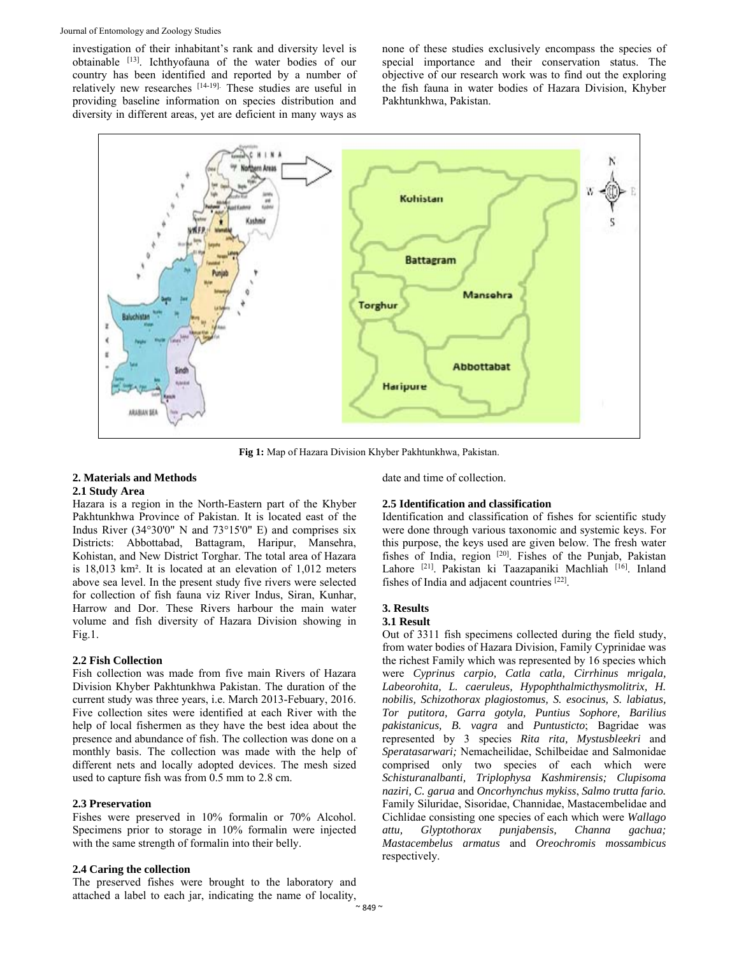investigation of their inhabitant's rank and diversity level is obtainable [13]. Ichthyofauna of the water bodies of our country has been identified and reported by a number of relatively new researches [14-19]. These studies are useful in providing baseline information on species distribution and diversity in different areas, yet are deficient in many ways as none of these studies exclusively encompass the species of special importance and their conservation status. The objective of our research work was to find out the exploring the fish fauna in water bodies of Hazara Division, Khyber Pakhtunkhwa, Pakistan.



**Fig 1:** Map of Hazara Division Khyber Pakhtunkhwa, Pakistan.

#### **2. Materials and Methods 2.1 Study Area**

Hazara is a region in the North-Eastern part of the Khyber Pakhtunkhwa Province of Pakistan. It is located east of the Indus River (34°30'0" N and 73°15'0" E) and comprises six Districts: Abbottabad, Battagram, Haripur, Mansehra, Kohistan, and New District Torghar. The total area of Hazara

is 18,013 km². It is located at an elevation of 1,012 meters above sea level. In the present study five rivers were selected for collection of fish fauna viz River Indus, Siran, Kunhar, Harrow and Dor. These Rivers harbour the main water volume and fish diversity of Hazara Division showing in Fig.1.

## **2.2 Fish Collection**

Fish collection was made from five main Rivers of Hazara Division Khyber Pakhtunkhwa Pakistan. The duration of the current study was three years, i.e. March 2013-Febuary, 2016. Five collection sites were identified at each River with the help of local fishermen as they have the best idea about the presence and abundance of fish. The collection was done on a monthly basis. The collection was made with the help of different nets and locally adopted devices. The mesh sized used to capture fish was from 0.5 mm to 2.8 cm.

## **2.3 Preservation**

Fishes were preserved in 10% formalin or 70% Alcohol. Specimens prior to storage in 10% formalin were injected with the same strength of formalin into their belly.

## **2.4 Caring the collection**

The preserved fishes were brought to the laboratory and attached a label to each jar, indicating the name of locality, date and time of collection.

## **2.5 Identification and classification**

Identification and classification of fishes for scientific study were done through various taxonomic and systemic keys. For this purpose, the keys used are given below. The fresh water fishes of India, region [20]. Fishes of the Punjab, Pakistan Lahore [21]. Pakistan ki Taazapaniki Machliah [16]. Inland fishes of India and adjacent countries [22].

## **3. Results**

## **3.1 Result**

Out of 3311 fish specimens collected during the field study, from water bodies of Hazara Division, Family Cyprinidae was the richest Family which was represented by 16 species which were *Cyprinus carpio, Catla catla, Cirrhinus mrigala, Labeorohita, L. caeruleus, Hypophthalmicthysmolitrix, H. nobilis, Schizothorax plagiostomus, S. esocinus, S. labiatus, Tor putitora, Garra gotyla, Puntius Sophore, Barilius pakistanicus, B. vagra* and *Puntusticto*; Bagridae was represented by 3 species *Rita rita, Mystusbleekri* and *Speratasarwari;* Nemacheilidae, Schilbeidae and Salmonidae comprised only two species of each which were *Schisturanalbanti, Triplophysa Kashmirensis; Clupisoma naziri, C. garua* and *Oncorhynchus mykiss*, *Salmo trutta fario.* Family Siluridae, Sisoridae, Channidae, Mastacembelidae and Cichlidae consisting one species of each which were *Wallago attu, Glyptothorax punjabensis, Channa gachua; Mastacembelus armatus* and *Oreochromis mossambicus*  respectively.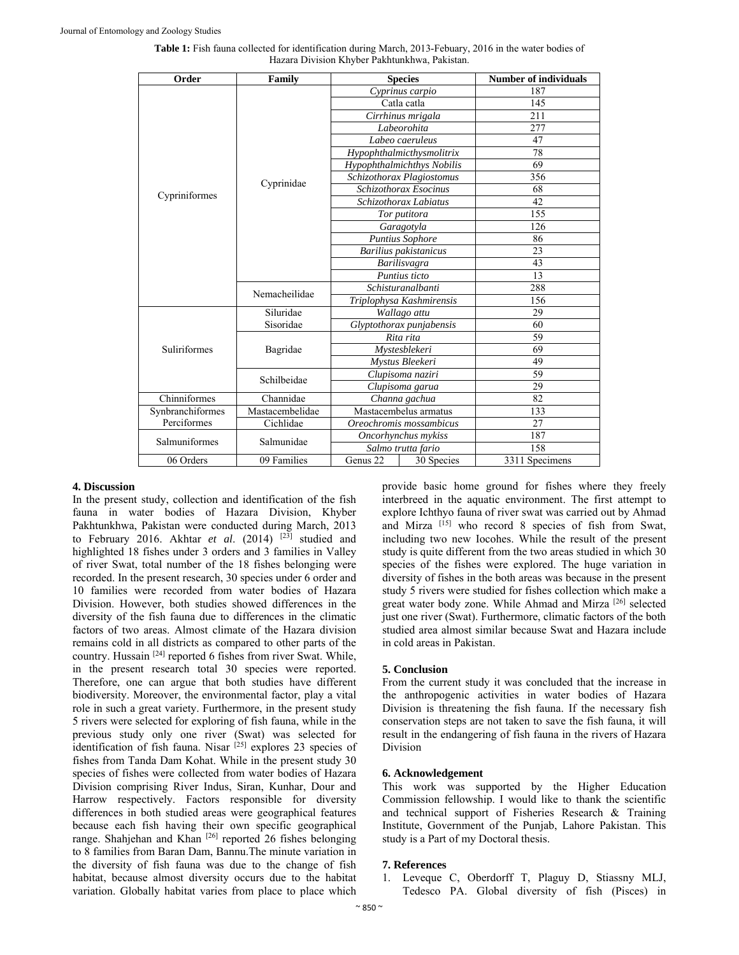| Order               | Family          | <b>Species</b>             |            | <b>Number of individuals</b> |
|---------------------|-----------------|----------------------------|------------|------------------------------|
| Cypriniformes       | Cyprinidae      | Cyprinus carpio            |            | 187                          |
|                     |                 | Catla catla                |            | 145                          |
|                     |                 | Cirrhinus mrigala          |            | 211                          |
|                     |                 | Labeorohita                |            | 277                          |
|                     |                 | Labeo caeruleus            |            | 47                           |
|                     |                 | Hypophthalmicthysmolitrix  |            | 78                           |
|                     |                 | Hypophthalmichthys Nobilis |            | 69                           |
|                     |                 | Schizothorax Plagiostomus  |            | 356                          |
|                     |                 | Schizothorax Esocinus      |            | 68                           |
|                     |                 | Schizothorax Labiatus      |            | 42                           |
|                     |                 | Tor putitora               |            | 155                          |
|                     |                 | Garagotyla                 |            | 126                          |
|                     |                 | <b>Puntius Sophore</b>     |            | 86                           |
|                     |                 | Barilius pakistanicus      |            | 23                           |
|                     |                 | Barilisvagra               |            | 43                           |
|                     |                 | Puntius ticto              |            | 13                           |
|                     | Nemacheilidae   | Schisturanalbanti          |            | 288                          |
|                     |                 | Triplophysa Kashmirensis   |            | 156                          |
| <b>Suliriformes</b> | Siluridae       | Wallago attu               |            | 29                           |
|                     | Sisoridae       | Glyptothorax punjabensis   |            | 60                           |
|                     | Bagridae        | Rita rita                  |            | 59                           |
|                     |                 | Mystesblekeri              |            | 69                           |
|                     |                 | Mystus Bleekeri            |            | 49                           |
|                     | Schilbeidae     | Clupisoma naziri           |            | 59                           |
|                     |                 | Clupisoma garua            |            | 29                           |
| Chinniformes        | Channidae       | Channa gachua              |            | 82                           |
| Synbranchiformes    | Mastacembelidae | Mastacembelus armatus      |            | 133                          |
| Perciformes         | Cichlidae       | Oreochromis mossambicus    |            | 27                           |
| Salmuniformes       | Salmunidae      | Oncorhynchus mykiss        |            | 187                          |
|                     |                 | Salmo trutta fario         |            | 158                          |
| 06 Orders           | 09 Families     | Genus 22                   | 30 Species | 3311 Specimens               |

**Table 1:** Fish fauna collected for identification during March, 2013-Febuary, 2016 in the water bodies of Hazara Division Khyber Pakhtunkhwa, Pakistan.

### **4. Discussion**

In the present study, collection and identification of the fish fauna in water bodies of Hazara Division, Khyber Pakhtunkhwa, Pakistan were conducted during March, 2013 to February 2016. Akhtar *et al.* (2014) <sup>[23]</sup> studied and highlighted 18 fishes under 3 orders and 3 families in Valley of river Swat, total number of the 18 fishes belonging were recorded. In the present research, 30 species under 6 order and 10 families were recorded from water bodies of Hazara Division. However, both studies showed differences in the diversity of the fish fauna due to differences in the climatic factors of two areas. Almost climate of the Hazara division remains cold in all districts as compared to other parts of the country. Hussain [24] reported 6 fishes from river Swat. While, in the present research total 30 species were reported. Therefore, one can argue that both studies have different biodiversity. Moreover, the environmental factor, play a vital role in such a great variety. Furthermore, in the present study 5 rivers were selected for exploring of fish fauna, while in the previous study only one river (Swat) was selected for identification of fish fauna. Nisar <sup>[25]</sup> explores 23 species of fishes from Tanda Dam Kohat. While in the present study 30 species of fishes were collected from water bodies of Hazara Division comprising River Indus, Siran, Kunhar, Dour and Harrow respectively. Factors responsible for diversity differences in both studied areas were geographical features because each fish having their own specific geographical range. Shahjehan and Khan <sup>[26]</sup> reported 26 fishes belonging to 8 families from Baran Dam, Bannu.The minute variation in the diversity of fish fauna was due to the change of fish habitat, because almost diversity occurs due to the habitat variation. Globally habitat varies from place to place which

provide basic home ground for fishes where they freely interbreed in the aquatic environment. The first attempt to explore Ichthyo fauna of river swat was carried out by Ahmad and Mirza [15] who record 8 species of fish from Swat, including two new Iocohes. While the result of the present study is quite different from the two areas studied in which 30 species of the fishes were explored. The huge variation in diversity of fishes in the both areas was because in the present study 5 rivers were studied for fishes collection which make a great water body zone. While Ahmad and Mirza [26] selected just one river (Swat). Furthermore, climatic factors of the both studied area almost similar because Swat and Hazara include in cold areas in Pakistan.

### **5. Conclusion**

From the current study it was concluded that the increase in the anthropogenic activities in water bodies of Hazara Division is threatening the fish fauna. If the necessary fish conservation steps are not taken to save the fish fauna, it will result in the endangering of fish fauna in the rivers of Hazara Division

## **6. Acknowledgement**

This work was supported by the Higher Education Commission fellowship. I would like to thank the scientific and technical support of Fisheries Research & Training Institute, Government of the Punjab, Lahore Pakistan. This study is a Part of my Doctoral thesis.

### **7. References**

1. Leveque C, Oberdorff T, Plaguy D, Stiassny MLJ, Tedesco PA. Global diversity of fish (Pisces) in